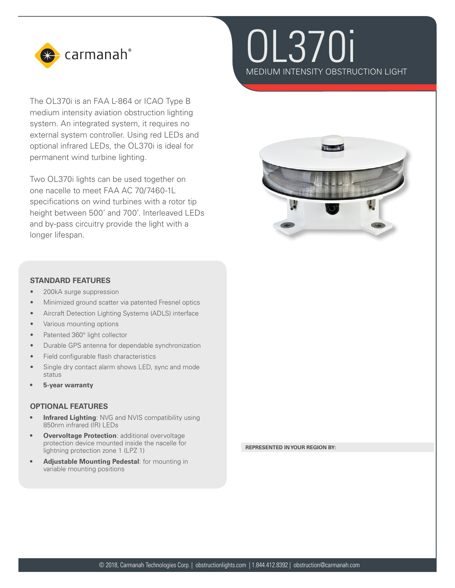

The OL370i is an FAA L-864 or ICAO Type B medium intensity aviation obstruction lighting system. An integrated system, it requires no external system controller. Using red LEDs and optional infrared LEDs, the OL370i is ideal for permanent wind turbine lighting.

Two OL370i lights can be used together on one nacelle to meet FAA AC 70/7460-1L specifications on wind turbines with a rotor tip height between 500' and 700'. Interleaved LEDs and by-pass circuitry provide the light with a longer lifespan.





## **STANDARD FEATURES**

- 200kA surge suppression
- Minimized ground scatter via patented Fresnel optics
- Aircraft Detection Lighting Systems (ADLS) interface
- Various mounting options
- Patented 360° light collector
- Durable GPS antenna for dependable synchronization
- Field configurable flash characteristics
- Single dry contact alarm shows LED, sync and mode status
- **• 5-year warranty**

## **OPTIONAL FEATURES**

- **Infrared Lighting: NVG and NVIS compatibility using** 850nm infrared (IR) LEDs
- **• Overvoltage Protection**: additional overvoltage protection device mounted inside the nacelle for lightning protection zone 1 (LPZ 1)
- **• Adjustable Mounting Pedestal**: for mounting in variable mounting positions

**REPRESENTED IN YOUR REGION BY:**